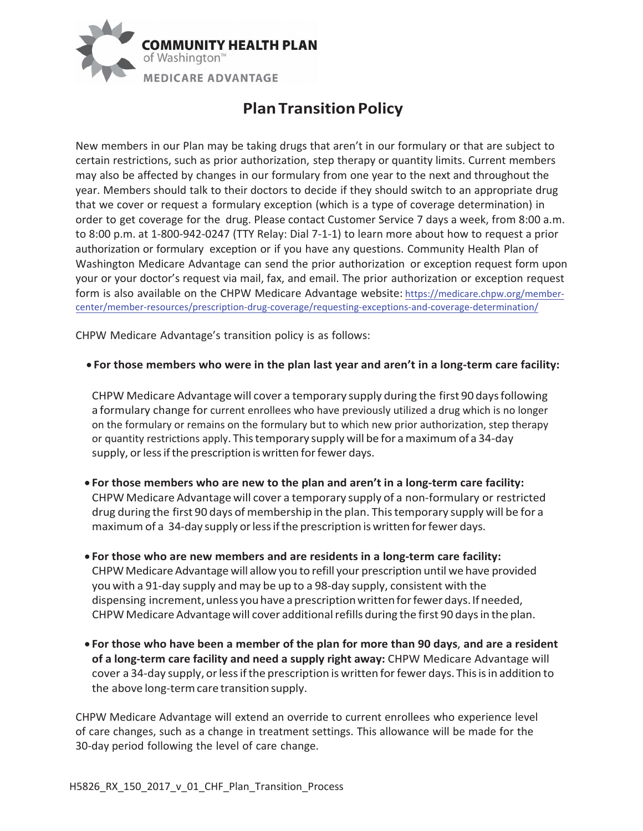

## **Plan Transition Policy**

New members in our Plan may be taking drugs that aren't in our formulary or that are subject to certain restrictions, such as prior authorization, step therapy or quantity limits. Current members may also be affected by changes in our formulary from one year to the next and throughout the year. Members should talk to their doctors to decide if they should switch to an appropriate drug that we cover or request a formulary exception (which is a type of coverage determination) in order to get coverage for the drug. Please contact Customer Service 7 days a week, from 8:00 a.m. to 8:00 p.m. at 1-800-942-0247 (TTY Relay: Dial 7-1-1) to learn more about how to request a prior authorization or formulary exception or if you have any questions. Community Health Plan of Washington Medicare Advantage can send the prior authorization or exception request form upon your or your doctor's request via mail, fax, and email. The prior authorization or exception request form is also available on the CHPW Medicare Advantage website: <https://medicare.chpw.org/member>center/member-resources/prescription-drug-coverage/requesting-exceptions-and-coverage-determination/

CHPW Medicare Advantage's transition policy is as follows:

## **• For those members who were in the plan last year and aren't in a long-term care facility:**

CHPW Medicare Advantage will cover a temporary supply during the first 90 days following a formulary change for current enrollees who have previously utilized a drug which is no longer on the formulary or remains on the formulary but to which new prior authorization, step therapy or quantity restrictions apply. This temporary supply will be for a maximum of a 34-day supply, or less if the prescription is written for fewer days.

- x **For those members who are new to the plan and aren't in a long-term care facility:**  CHPW Medicare Advantage will cover a temporary supply of a non-formulary or restricted drug during the first 90 days of membership in the plan. This temporary supply will be for a maximum of a 34-day supply or less if the prescription is written for fewer days.
- x **For those who are new members and are residents in a long-term care facility:**  CHPW Medicare Advantage will allow you to refill your prescription until we have provided you with a 91-day supply and may be up to a 98-day supply, consistent with the dispensing increment, unless you have a prescription written for fewer days. If needed, CHPW Medicare Advantagewill cover additional refills during the first 90 days in the plan.
- x **For those who have been a member of the plan for more than 90 days**, **and are a resident of a long-term care facility and need a supply right away:** CHPW Medicare Advantage will cover a 34-day supply, or less if the prescription is written for fewer days. This is in addition to the above long-term care transition supply.

CHPW Medicare Advantage will extend an override to current enrollees who experience level of care changes, such as a change in treatment settings. This allowance will be made for the 30-day period following the level of care change.